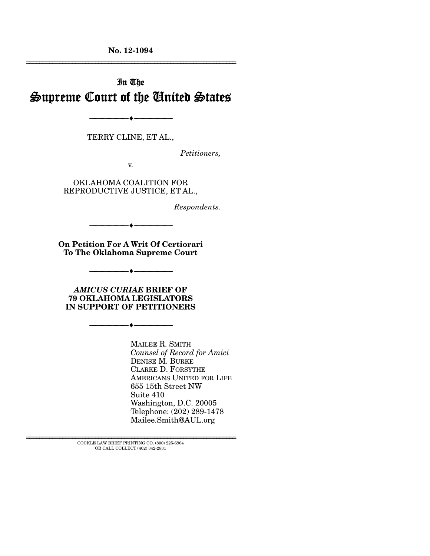**No. 12-1094** 

# In The Supreme Court of the United States

--------------------------------- ---------------------------------

TERRY CLINE, ET AL.,

*Petitioners,* 

================================================================

v.

OKLAHOMA COALITION FOR REPRODUCTIVE JUSTICE, ET AL.,

*Respondents.* 

**On Petition For A Writ Of Certiorari To The Oklahoma Supreme Court** 

--------------------------------- ---------------------------------

--------------------------------- ---------------------------------

*AMICUS CURIAE* **BRIEF OF 79 OKLAHOMA LEGISLATORS IN SUPPORT OF PETITIONERS** 

--------------------------------- ---------------------------------

MAILEE R. SMITH *Counsel of Record for Amici*  DENISE M. BURKE CLARKE D. FORSYTHE AMERICANS UNITED FOR LIFE 655 15th Street NW Suite 410 Washington, D.C. 20005 Telephone: (202) 289-1478 Mailee.Smith@AUL.org

 ${\rm COCKLE}$  LAW BRIEF PRINTING CO. (800) 225-6964 OR CALL COLLECT (402) 342-2831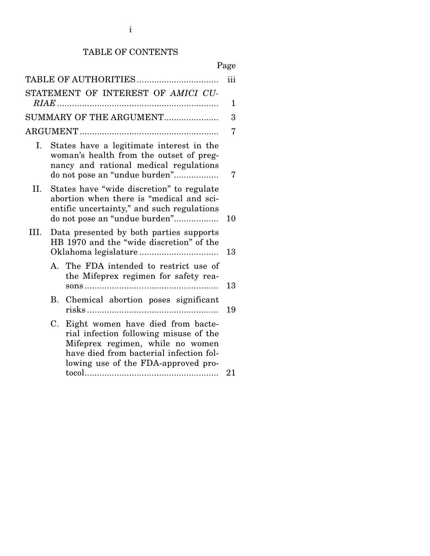## TABLE OF CONTENTS

# Page

| TABLE OF AUTHORITIES               |                                                                                     |                                                                                                                                                                                                   |    |  |  |
|------------------------------------|-------------------------------------------------------------------------------------|---------------------------------------------------------------------------------------------------------------------------------------------------------------------------------------------------|----|--|--|
| STATEMENT OF INTEREST OF AMICI CU- |                                                                                     |                                                                                                                                                                                                   |    |  |  |
|                                    |                                                                                     |                                                                                                                                                                                                   |    |  |  |
| SUMMARY OF THE ARGUMENT            |                                                                                     |                                                                                                                                                                                                   |    |  |  |
|                                    |                                                                                     |                                                                                                                                                                                                   |    |  |  |
| Ι.                                 |                                                                                     | States have a legitimate interest in the<br>woman's health from the outset of preg-<br>nancy and rational medical regulations<br>do not pose an "undue burden"                                    | 7  |  |  |
| II.                                |                                                                                     | States have "wide discretion" to regulate<br>abortion when there is "medical and sci-<br>entific uncertainty," and such regulations<br>do not pose an "undue burden"                              | 10 |  |  |
| III.                               | Data presented by both parties supports<br>HB 1970 and the "wide discretion" of the |                                                                                                                                                                                                   |    |  |  |
|                                    |                                                                                     | A. The FDA intended to restrict use of<br>the Mifeprex regimen for safety rea-                                                                                                                    | 13 |  |  |
|                                    | В.                                                                                  | Chemical abortion poses significant                                                                                                                                                               | 19 |  |  |
|                                    | C.                                                                                  | Eight women have died from bacte-<br>rial infection following misuse of the<br>Mifeprex regimen, while no women<br>have died from bacterial infection fol-<br>lowing use of the FDA-approved pro- | 21 |  |  |
|                                    |                                                                                     |                                                                                                                                                                                                   |    |  |  |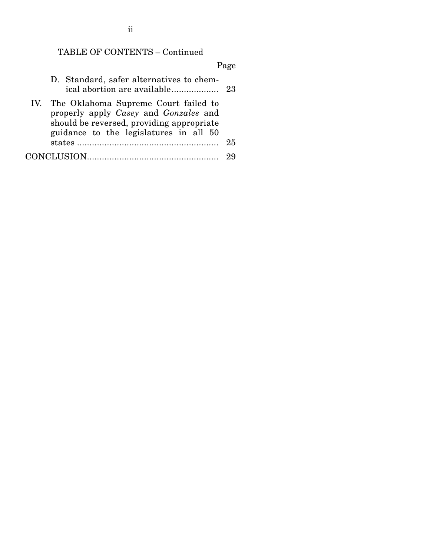## TABLE OF CONTENTS – Continued

# Page D. Standard, safer alternatives to chemical abortion are available ................... 23 IV. The Oklahoma Supreme Court failed to properly apply *Casey* and *Gonzales* and should be reversed, providing appropriate guidance to the legislatures in all 50 states ......................................................... 25 CONCLUSION ..................................................... 29

ii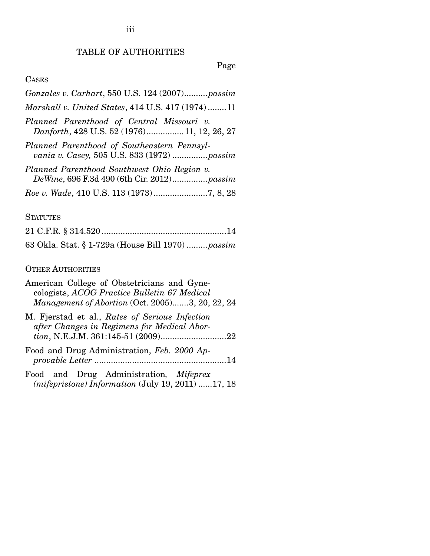## TABLE OF AUTHORITIES

## Page

## **CASES**

| Gonzales v. Carhart, 550 U.S. 124 (2007)passim                                             |
|--------------------------------------------------------------------------------------------|
| Marshall v. United States, 414 U.S. 417 (1974)11                                           |
| Planned Parenthood of Central Missouri v.<br>Danforth, 428 U.S. 52 (1976) 11, 12, 26, 27   |
| Planned Parenthood of Southeastern Pennsyl-<br>vania v. Casey, 505 U.S. 833 (1972)  passim |
| Planned Parenthood Southwest Ohio Region v.<br>DeWine, 696 F.3d 490 (6th Cir. 2012)passim  |
| Roe v. Wade, 410 U.S. 113 (1973)7, 8, 28                                                   |

#### **STATUTES**

| 63 Okla. Stat. § 1-729a (House Bill 1970) passim |
|--------------------------------------------------|

### OTHER AUTHORITIES

| American College of Obstetricians and Gyne-<br>cologists, ACOG Practice Bulletin 67 Medical<br><i>Management of Abortion</i> (Oct. 2005)3, 20, 22, 24 |
|-------------------------------------------------------------------------------------------------------------------------------------------------------|
| M. Fjerstad et al., Rates of Serious Infection<br>after Changes in Regimens for Medical Abor-                                                         |
| Food and Drug Administration, Feb. 2000 Ap-                                                                                                           |

Food and Drug Administration*, Mifeprex (mifepristone) Information* (July 19, 2011) ...... 17, 18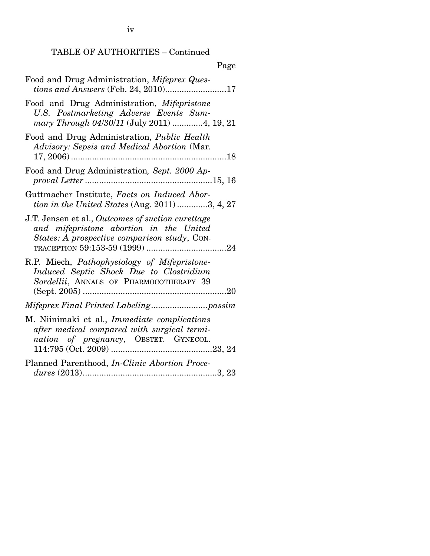iv

# TABLE OF AUTHORITIES – Continued

| ×<br>I |
|--------|
|--------|

| Food and Drug Administration, Mifeprex Ques-<br><i>tions and Answers</i> (Feb. 24, 2010)17                                                   |
|----------------------------------------------------------------------------------------------------------------------------------------------|
| Food and Drug Administration, Mifepristone<br>U.S. Postmarketing Adverse Events Sum-<br>mary Through 04/30/11 (July 2011) 4, 19, 21          |
| Food and Drug Administration, <i>Public Health</i><br>Advisory: Sepsis and Medical Abortion (Mar.                                            |
| Food and Drug Administration, Sept. 2000 Ap-                                                                                                 |
| Guttmacher Institute, Facts on Induced Abor-<br>tion in the United States (Aug. 2011) 3, 4, 27                                               |
| J.T. Jensen et al., Outcomes of suction curettage<br>and mifepristone abortion in the United<br>States: A prospective comparison study, CON- |
| R.P. Miech, Pathophysiology of Mifepristone-<br>Induced Septic Shock Due to Clostridium<br>Sordellii, ANNALS OF PHARMOCOTHERAPY 39           |
|                                                                                                                                              |
| M. Niinimaki et al., <i>Immediate complications</i><br>after medical compared with surgical termi-<br>nation of pregnancy, OBSTET. GYNECOL.  |
| Planned Parenthood, In-Clinic Abortion Proce-                                                                                                |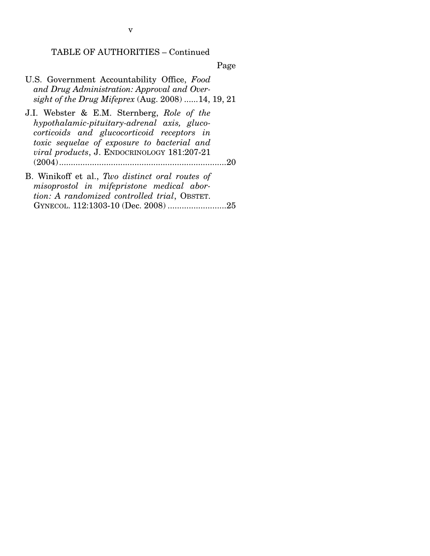TABLE OF AUTHORITIES – Continued

Page

- U.S. Government Accountability Office, *Food and Drug Administration: Approval and Oversight of the Drug Mifeprex* (Aug. 2008) ...... 14, 19, 21
- J.I. Webster & E.M. Sternberg, *Role of the hypothalamic-pituitary-adrenal axis, glucocorticoids and glucocorticoid receptors in toxic sequelae of exposure to bacterial and viral products*, J. ENDOCRINOLOGY 181:207-21 (2004) ....................................................................... 20
- B. Winikoff et al., *Two distinct oral routes of misoprostol in mifepristone medical abortion: A randomized controlled trial*, OBSTET. GYNECOL. 112:1303-10 (Dec. 2008) ......................... 25

v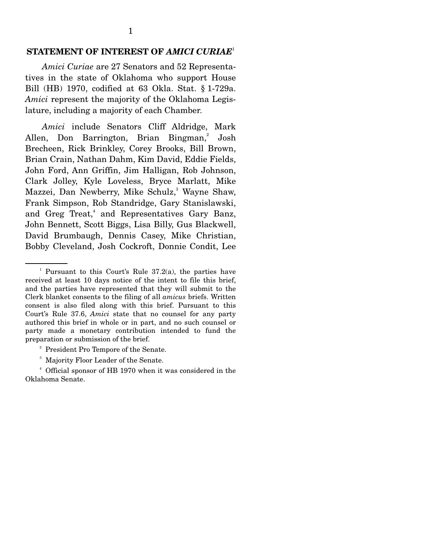## **STATEMENT OF INTEREST OF** *AMICI CURIAE*<sup>1</sup>

*Amici Curiae* are 27 Senators and 52 Representatives in the state of Oklahoma who support House Bill (HB) 1970, codified at 63 Okla. Stat. § 1-729a. *Amici* represent the majority of the Oklahoma Legislature, including a majority of each Chamber.

*Amici* include Senators Cliff Aldridge, Mark Allen, Don Barrington, Brian Bingman,<sup>2</sup> Josh Brecheen, Rick Brinkley, Corey Brooks, Bill Brown, Brian Crain, Nathan Dahm, Kim David, Eddie Fields, John Ford, Ann Griffin, Jim Halligan, Rob Johnson, Clark Jolley, Kyle Loveless, Bryce Marlatt, Mike Mazzei, Dan Newberry, Mike Schulz,<sup>3</sup> Wayne Shaw, Frank Simpson, Rob Standridge, Gary Stanislawski, and Greg Treat,<sup>4</sup> and Representatives Gary Banz, John Bennett, Scott Biggs, Lisa Billy, Gus Blackwell, David Brumbaugh, Dennis Casey, Mike Christian, Bobby Cleveland, Josh Cockroft, Donnie Condit, Lee

- <sup>2</sup> President Pro Tempore of the Senate.
- 3 Majority Floor Leader of the Senate.

4 Official sponsor of HB 1970 when it was considered in the Oklahoma Senate.

<sup>&</sup>lt;sup>1</sup> Pursuant to this Court's Rule  $37.2(a)$ , the parties have received at least 10 days notice of the intent to file this brief, and the parties have represented that they will submit to the Clerk blanket consents to the filing of all *amicus* briefs. Written consent is also filed along with this brief. Pursuant to this Court's Rule 37.6, *Amici* state that no counsel for any party authored this brief in whole or in part, and no such counsel or party made a monetary contribution intended to fund the preparation or submission of the brief.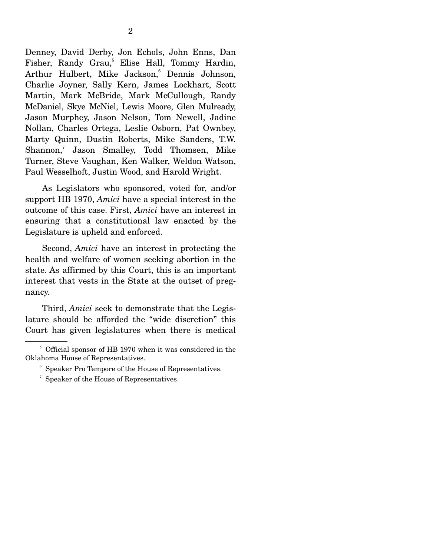Denney, David Derby, Jon Echols, John Enns, Dan Fisher, Randy Grau,<sup>5</sup> Elise Hall, Tommy Hardin, Arthur Hulbert, Mike Jackson,<sup>6</sup> Dennis Johnson, Charlie Joyner, Sally Kern, James Lockhart, Scott Martin, Mark McBride, Mark McCullough, Randy McDaniel, Skye McNiel, Lewis Moore, Glen Mulready, Jason Murphey, Jason Nelson, Tom Newell, Jadine Nollan, Charles Ortega, Leslie Osborn, Pat Ownbey, Marty Quinn, Dustin Roberts, Mike Sanders, T.W. Shannon,<sup>7</sup> Jason Smalley, Todd Thomsen, Mike Turner, Steve Vaughan, Ken Walker, Weldon Watson, Paul Wesselhoft, Justin Wood, and Harold Wright.

 As Legislators who sponsored, voted for, and/or support HB 1970, *Amici* have a special interest in the outcome of this case. First, *Amici* have an interest in ensuring that a constitutional law enacted by the Legislature is upheld and enforced.

 Second, *Amici* have an interest in protecting the health and welfare of women seeking abortion in the state. As affirmed by this Court, this is an important interest that vests in the State at the outset of pregnancy.

 Third, *Amici* seek to demonstrate that the Legislature should be afforded the "wide discretion" this Court has given legislatures when there is medical

- 6 Speaker Pro Tempore of the House of Representatives.
- <sup>7</sup> Speaker of the House of Representatives.

<sup>&</sup>lt;sup>5</sup> Official sponsor of HB 1970 when it was considered in the Oklahoma House of Representatives.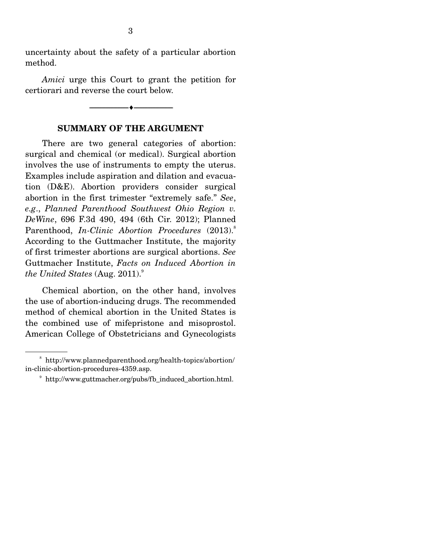uncertainty about the safety of a particular abortion method.

*Amici* urge this Court to grant the petition for certiorari and reverse the court below.

# **SUMMARY OF THE ARGUMENT**

--------------------------------- ---------------------------------

There are two general categories of abortion: surgical and chemical (or medical). Surgical abortion involves the use of instruments to empty the uterus. Examples include aspiration and dilation and evacuation (D&E). Abortion providers consider surgical abortion in the first trimester "extremely safe." *See*, *e.g*., *Planned Parenthood Southwest Ohio Region v. DeWine*, 696 F.3d 490, 494 (6th Cir. 2012); Planned Parenthood, *In-Clinic Abortion Procedures* (2013).<sup>8</sup> According to the Guttmacher Institute, the majority of first trimester abortions are surgical abortions. *See* Guttmacher Institute, *Facts on Induced Abortion in the United States* (Aug. 2011).<sup>9</sup>

 Chemical abortion, on the other hand, involves the use of abortion-inducing drugs. The recommended method of chemical abortion in the United States is the combined use of mifepristone and misoprostol. American College of Obstetricians and Gynecologists

<sup>8</sup> http://www.plannedparenthood.org/health-topics/abortion/ in-clinic-abortion-procedures-4359.asp.

<sup>9</sup> http://www.guttmacher.org/pubs/fb\_induced\_abortion.html.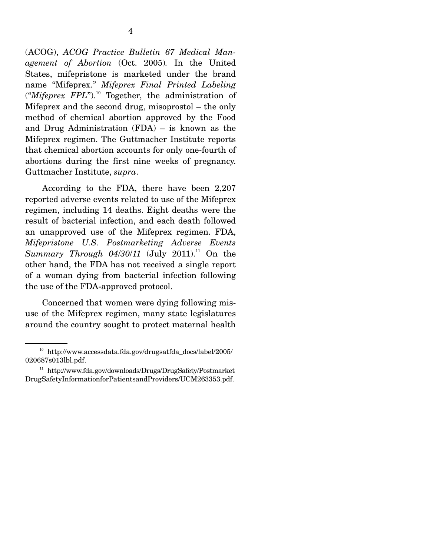(ACOG), *ACOG Practice Bulletin 67 Medical Management of Abortion* (Oct. 2005)*.* In the United States, mifepristone is marketed under the brand name "Mifeprex." *Mifeprex Final Printed Labeling* ("*Mifeprex FPL*").<sup>10</sup> Together, the administration of Mifeprex and the second drug, misoprostol – the only method of chemical abortion approved by the Food and Drug Administration (FDA) – is known as the Mifeprex regimen. The Guttmacher Institute reports that chemical abortion accounts for only one-fourth of abortions during the first nine weeks of pregnancy. Guttmacher Institute, *supra*.

 According to the FDA, there have been 2,207 reported adverse events related to use of the Mifeprex regimen, including 14 deaths. Eight deaths were the result of bacterial infection, and each death followed an unapproved use of the Mifeprex regimen. FDA, *Mifepristone U.S. Postmarketing Adverse Events Summary Through 04/30/11* (July 2011).<sup>11</sup> On the other hand, the FDA has not received a single report of a woman dying from bacterial infection following the use of the FDA-approved protocol.

 Concerned that women were dying following misuse of the Mifeprex regimen, many state legislatures around the country sought to protect maternal health

 $10$  http://www.accessdata.fda.gov/drugsatfda\_docs/label/2005/ 020687s013lbl.pdf.

<sup>&</sup>lt;sup>11</sup> http://www.fda.gov/downloads/Drugs/DrugSafety/Postmarket DrugSafetyInformationforPatientsandProviders/UCM263353.pdf.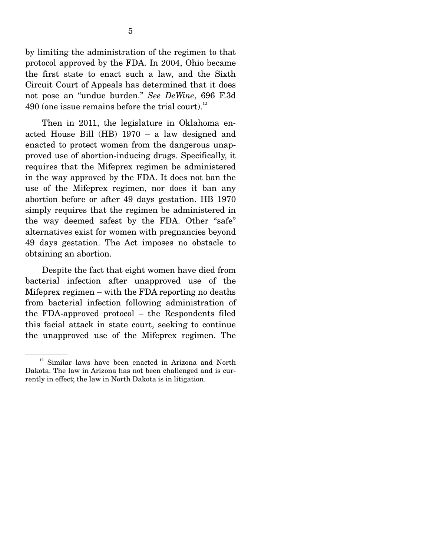by limiting the administration of the regimen to that protocol approved by the FDA. In 2004, Ohio became the first state to enact such a law, and the Sixth Circuit Court of Appeals has determined that it does not pose an "undue burden." *See DeWine*, 696 F.3d  $490$  (one issue remains before the trial court).<sup>12</sup>

 Then in 2011, the legislature in Oklahoma enacted House Bill (HB) 1970 – a law designed and enacted to protect women from the dangerous unapproved use of abortion-inducing drugs. Specifically, it requires that the Mifeprex regimen be administered in the way approved by the FDA. It does not ban the use of the Mifeprex regimen, nor does it ban any abortion before or after 49 days gestation. HB 1970 simply requires that the regimen be administered in the way deemed safest by the FDA. Other "safe" alternatives exist for women with pregnancies beyond 49 days gestation. The Act imposes no obstacle to obtaining an abortion.

 Despite the fact that eight women have died from bacterial infection after unapproved use of the Mifeprex regimen – with the FDA reporting no deaths from bacterial infection following administration of the FDA-approved protocol – the Respondents filed this facial attack in state court, seeking to continue the unapproved use of the Mifeprex regimen. The

<sup>&</sup>lt;sup>12</sup> Similar laws have been enacted in Arizona and North Dakota. The law in Arizona has not been challenged and is currently in effect; the law in North Dakota is in litigation.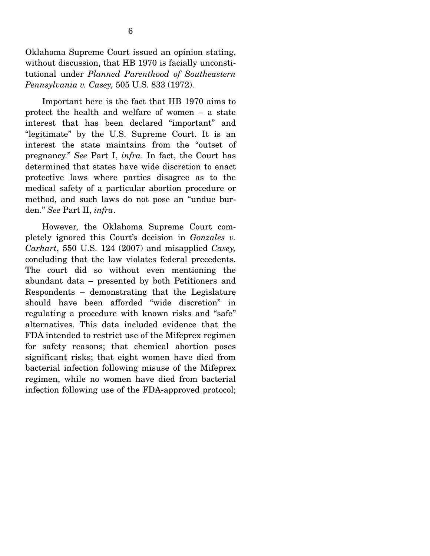Oklahoma Supreme Court issued an opinion stating, without discussion, that HB 1970 is facially unconstitutional under *Planned Parenthood of Southeastern Pennsylvania v. Casey,* 505 U.S. 833 (1972).

 Important here is the fact that HB 1970 aims to protect the health and welfare of women – a state interest that has been declared "important" and "legitimate" by the U.S. Supreme Court. It is an interest the state maintains from the "outset of pregnancy." *See* Part I, *infra*. In fact, the Court has determined that states have wide discretion to enact protective laws where parties disagree as to the medical safety of a particular abortion procedure or method, and such laws do not pose an "undue burden." *See* Part II, *infra*.

 However, the Oklahoma Supreme Court completely ignored this Court's decision in *Gonzales v. Carhart*, 550 U.S. 124 (2007) and misapplied *Casey,*  concluding that the law violates federal precedents. The court did so without even mentioning the abundant data – presented by both Petitioners and Respondents – demonstrating that the Legislature should have been afforded "wide discretion" in regulating a procedure with known risks and "safe" alternatives. This data included evidence that the FDA intended to restrict use of the Mifeprex regimen for safety reasons; that chemical abortion poses significant risks; that eight women have died from bacterial infection following misuse of the Mifeprex regimen, while no women have died from bacterial infection following use of the FDA-approved protocol;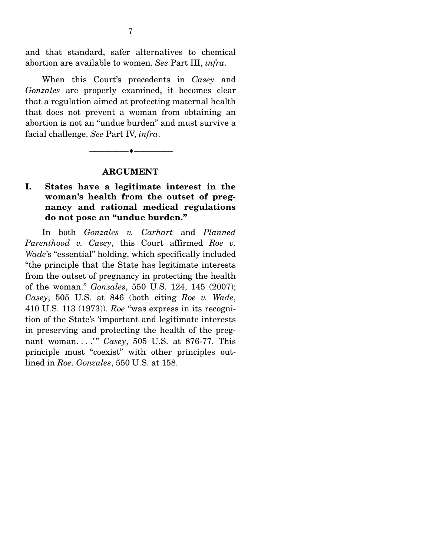and that standard, safer alternatives to chemical abortion are available to women. *See* Part III, *infra*.

 When this Court's precedents in *Casey* and *Gonzales* are properly examined, it becomes clear that a regulation aimed at protecting maternal health that does not prevent a woman from obtaining an abortion is not an "undue burden" and must survive a facial challenge. *See* Part IV, *infra*.

#### **ARGUMENT**

--------------------------------- ---------------------------------

## **I. States have a legitimate interest in the woman's health from the outset of pregnancy and rational medical regulations do not pose an "undue burden."**

In both *Gonzales v. Carhart* and *Planned Parenthood v. Casey*, this Court affirmed *Roe v. Wade*'s "essential" holding, which specifically included "the principle that the State has legitimate interests from the outset of pregnancy in protecting the health of the woman." *Gonzales*, 550 U.S. 124, 145 (2007); *Casey*, 505 U.S. at 846 (both citing *Roe v. Wade*, 410 U.S. 113 (1973)). *Roe* "was express in its recognition of the State's 'important and legitimate interests in preserving and protecting the health of the pregnant woman. . . . " *Casey*, 505 U.S. at 876-77. This principle must "coexist" with other principles outlined in *Roe*. *Gonzales*, 550 U.S. at 158.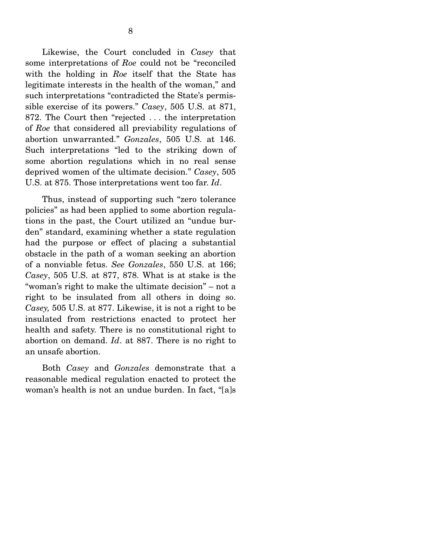Likewise, the Court concluded in *Casey* that some interpretations of *Roe* could not be "reconciled with the holding in *Roe* itself that the State has legitimate interests in the health of the woman," and such interpretations "contradicted the State's permissible exercise of its powers." *Casey*, 505 U.S. at 871, 872. The Court then "rejected . . . the interpretation of *Roe* that considered all previability regulations of abortion unwarranted." *Gonzales*, 505 U.S. at 146. Such interpretations "led to the striking down of some abortion regulations which in no real sense deprived women of the ultimate decision." *Casey*, 505 U.S. at 875. Those interpretations went too far. *Id*.

 Thus, instead of supporting such "zero tolerance policies" as had been applied to some abortion regulations in the past, the Court utilized an "undue burden" standard, examining whether a state regulation had the purpose or effect of placing a substantial obstacle in the path of a woman seeking an abortion of a nonviable fetus. *See Gonzales*, 550 U.S. at 166; *Casey*, 505 U.S. at 877, 878. What is at stake is the "woman's right to make the ultimate decision" – not a right to be insulated from all others in doing so. *Casey,* 505 U.S. at 877. Likewise, it is not a right to be insulated from restrictions enacted to protect her health and safety. There is no constitutional right to abortion on demand. *Id*. at 887. There is no right to an unsafe abortion.

 Both *Casey* and *Gonzales* demonstrate that a reasonable medical regulation enacted to protect the woman's health is not an undue burden. In fact, "[a]s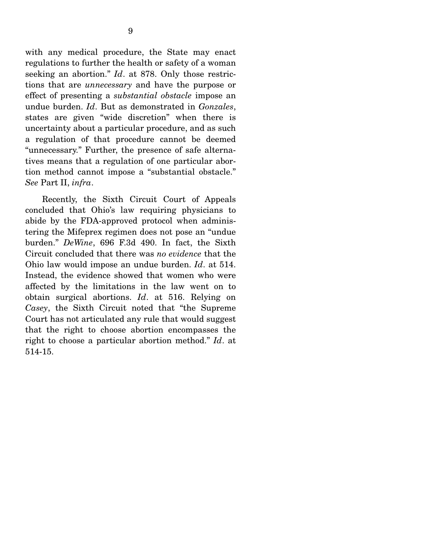with any medical procedure, the State may enact regulations to further the health or safety of a woman seeking an abortion." *Id*. at 878. Only those restrictions that are *unnecessary* and have the purpose or effect of presenting a *substantial obstacle* impose an undue burden. *Id*. But as demonstrated in *Gonzales*, states are given "wide discretion" when there is uncertainty about a particular procedure, and as such a regulation of that procedure cannot be deemed "unnecessary." Further, the presence of safe alternatives means that a regulation of one particular abortion method cannot impose a "substantial obstacle." *See* Part II, *infra*.

 Recently, the Sixth Circuit Court of Appeals concluded that Ohio's law requiring physicians to abide by the FDA-approved protocol when administering the Mifeprex regimen does not pose an "undue burden." *DeWine*, 696 F.3d 490. In fact, the Sixth Circuit concluded that there was *no evidence* that the Ohio law would impose an undue burden. *Id*. at 514. Instead, the evidence showed that women who were affected by the limitations in the law went on to obtain surgical abortions. *Id*. at 516. Relying on *Casey*, the Sixth Circuit noted that "the Supreme Court has not articulated any rule that would suggest that the right to choose abortion encompasses the right to choose a particular abortion method." *Id*. at 514-15.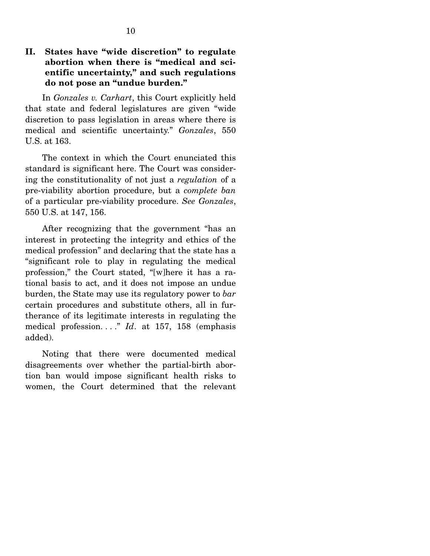## **II. States have "wide discretion" to regulate abortion when there is "medical and scientific uncertainty," and such regulations do not pose an "undue burden."**

In *Gonzales v. Carhart*, this Court explicitly held that state and federal legislatures are given "wide discretion to pass legislation in areas where there is medical and scientific uncertainty." *Gonzales*, 550 U.S. at 163.

 The context in which the Court enunciated this standard is significant here. The Court was considering the constitutionality of not just a *regulation* of a pre-viability abortion procedure, but a *complete ban* of a particular pre-viability procedure. *See Gonzales*, 550 U.S. at 147, 156.

 After recognizing that the government "has an interest in protecting the integrity and ethics of the medical profession" and declaring that the state has a "significant role to play in regulating the medical profession," the Court stated, "[w]here it has a rational basis to act, and it does not impose an undue burden, the State may use its regulatory power to *bar* certain procedures and substitute others, all in furtherance of its legitimate interests in regulating the medical profession. . . ." *Id*. at 157, 158 (emphasis added).

 Noting that there were documented medical disagreements over whether the partial-birth abortion ban would impose significant health risks to women, the Court determined that the relevant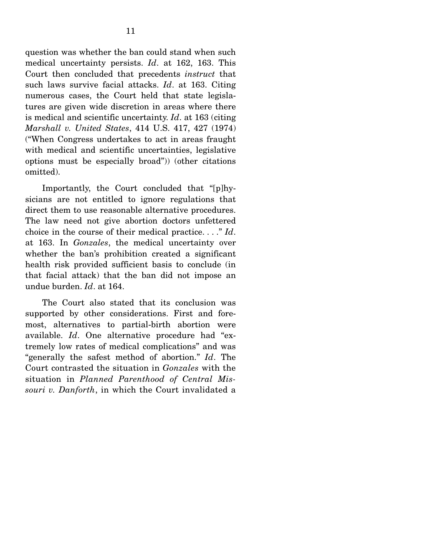question was whether the ban could stand when such medical uncertainty persists. *Id*. at 162, 163. This Court then concluded that precedents *instruct* that such laws survive facial attacks. *Id*. at 163. Citing numerous cases, the Court held that state legislatures are given wide discretion in areas where there is medical and scientific uncertainty. *Id*. at 163 (citing *Marshall v. United States*, 414 U.S. 417, 427 (1974) ("When Congress undertakes to act in areas fraught with medical and scientific uncertainties, legislative options must be especially broad")) (other citations omitted).

 Importantly, the Court concluded that "[p]hysicians are not entitled to ignore regulations that direct them to use reasonable alternative procedures. The law need not give abortion doctors unfettered choice in the course of their medical practice. . . ." *Id*. at 163. In *Gonzales*, the medical uncertainty over whether the ban's prohibition created a significant health risk provided sufficient basis to conclude (in that facial attack) that the ban did not impose an undue burden. *Id*. at 164.

 The Court also stated that its conclusion was supported by other considerations. First and foremost, alternatives to partial-birth abortion were available. *Id*. One alternative procedure had "extremely low rates of medical complications" and was "generally the safest method of abortion." *Id*. The Court contrasted the situation in *Gonzales* with the situation in *Planned Parenthood of Central Missouri v. Danforth*, in which the Court invalidated a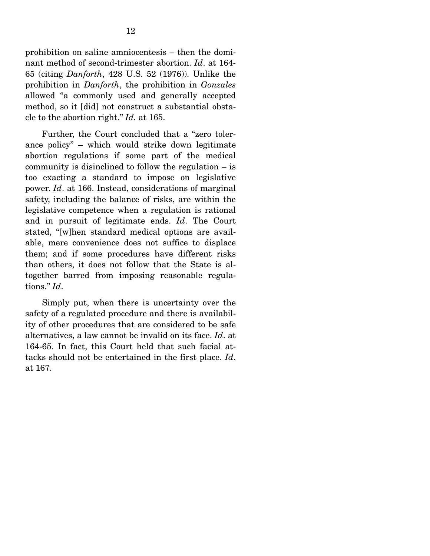prohibition on saline amniocentesis – then the dominant method of second-trimester abortion. *Id*. at 164- 65 (citing *Danforth*, 428 U.S. 52 (1976)). Unlike the prohibition in *Danforth*, the prohibition in *Gonzales* allowed "a commonly used and generally accepted method, so it [did] not construct a substantial obstacle to the abortion right." *Id.* at 165.

 Further, the Court concluded that a "zero tolerance policy" – which would strike down legitimate abortion regulations if some part of the medical community is disinclined to follow the regulation – is too exacting a standard to impose on legislative power. *Id*. at 166. Instead, considerations of marginal safety, including the balance of risks, are within the legislative competence when a regulation is rational and in pursuit of legitimate ends. *Id*. The Court stated, "[w]hen standard medical options are available, mere convenience does not suffice to displace them; and if some procedures have different risks than others, it does not follow that the State is altogether barred from imposing reasonable regulations." *Id*.

 Simply put, when there is uncertainty over the safety of a regulated procedure and there is availability of other procedures that are considered to be safe alternatives, a law cannot be invalid on its face. *Id*. at 164-65. In fact, this Court held that such facial attacks should not be entertained in the first place. *Id*. at 167.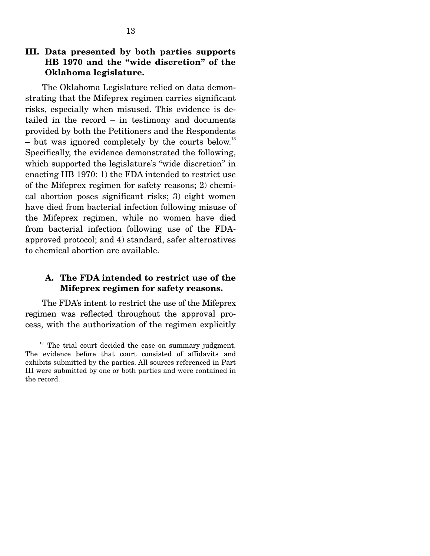## **III. Data presented by both parties supports HB 1970 and the "wide discretion" of the Oklahoma legislature.**

The Oklahoma Legislature relied on data demonstrating that the Mifeprex regimen carries significant risks, especially when misused. This evidence is detailed in the record – in testimony and documents provided by both the Petitioners and the Respondents – but was ignored completely by the courts below.<sup>13</sup> Specifically, the evidence demonstrated the following, which supported the legislature's "wide discretion" in enacting HB 1970: 1) the FDA intended to restrict use of the Mifeprex regimen for safety reasons; 2) chemical abortion poses significant risks; 3) eight women have died from bacterial infection following misuse of the Mifeprex regimen, while no women have died from bacterial infection following use of the FDAapproved protocol; and 4) standard, safer alternatives to chemical abortion are available.

## **A. The FDA intended to restrict use of the Mifeprex regimen for safety reasons.**

The FDA's intent to restrict the use of the Mifeprex regimen was reflected throughout the approval process, with the authorization of the regimen explicitly

 $13$  The trial court decided the case on summary judgment. The evidence before that court consisted of affidavits and exhibits submitted by the parties. All sources referenced in Part III were submitted by one or both parties and were contained in the record.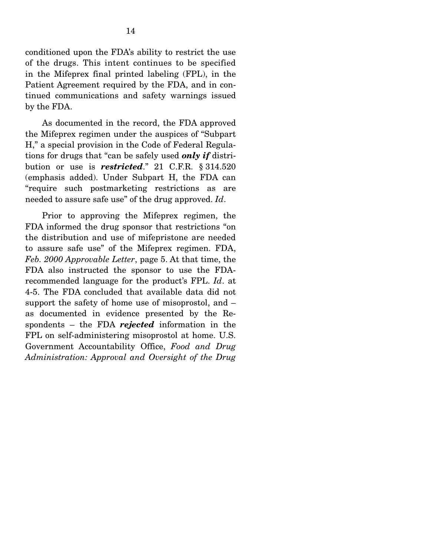conditioned upon the FDA's ability to restrict the use of the drugs. This intent continues to be specified in the Mifeprex final printed labeling (FPL), in the Patient Agreement required by the FDA, and in continued communications and safety warnings issued by the FDA.

 As documented in the record, the FDA approved the Mifeprex regimen under the auspices of "Subpart H," a special provision in the Code of Federal Regulations for drugs that "can be safely used *only if* distribution or use is *restricted*." 21 C.F.R. § 314.520 (emphasis added). Under Subpart H, the FDA can "require such postmarketing restrictions as are needed to assure safe use" of the drug approved. *Id*.

 Prior to approving the Mifeprex regimen, the FDA informed the drug sponsor that restrictions "on the distribution and use of mifepristone are needed to assure safe use" of the Mifeprex regimen. FDA, *Feb. 2000 Approvable Letter*, page 5. At that time, the FDA also instructed the sponsor to use the FDArecommended language for the product's FPL. *Id*. at 4-5. The FDA concluded that available data did not support the safety of home use of misoprostol, and – as documented in evidence presented by the Respondents – the FDA *rejected* information in the FPL on self-administering misoprostol at home. U.S. Government Accountability Office, *Food and Drug Administration: Approval and Oversight of the Drug*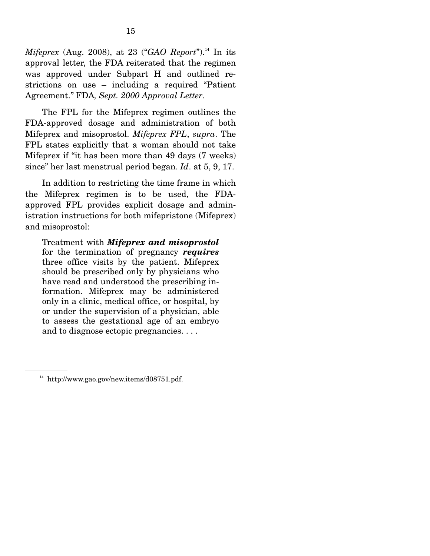*Mifeprex* (Aug. 2008), at 23 ("*GAO Report*").<sup>14</sup> In its approval letter, the FDA reiterated that the regimen was approved under Subpart H and outlined restrictions on use – including a required "Patient Agreement." FDA*, Sept. 2000 Approval Letter*.

 The FPL for the Mifeprex regimen outlines the FDA-approved dosage and administration of both Mifeprex and misoprostol. *Mifeprex FPL*, *supra*. The FPL states explicitly that a woman should not take Mifeprex if "it has been more than 49 days (7 weeks) since" her last menstrual period began. *Id*. at 5, 9, 17.

 In addition to restricting the time frame in which the Mifeprex regimen is to be used, the FDAapproved FPL provides explicit dosage and administration instructions for both mifepristone (Mifeprex) and misoprostol:

Treatment with *Mifeprex and misoprostol* for the termination of pregnancy *requires* three office visits by the patient. Mifeprex should be prescribed only by physicians who have read and understood the prescribing information. Mifeprex may be administered only in a clinic, medical office, or hospital, by or under the supervision of a physician, able to assess the gestational age of an embryo and to diagnose ectopic pregnancies. . . .

 $14$  http://www.gao.gov/new.items/d08751.pdf.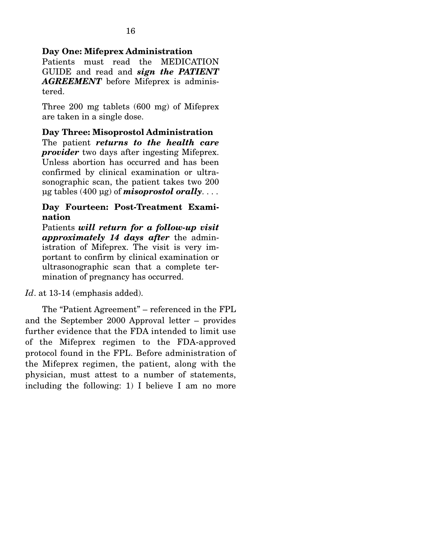#### **Day One: Mifeprex Administration**

Patients must read the MEDICATION GUIDE and read and *sign the PATIENT AGREEMENT* before Mifeprex is administered.

Three 200 mg tablets (600 mg) of Mifeprex are taken in a single dose.

**Day Three: Misoprostol Administration**  The patient *returns to the health care provider* two days after ingesting Mifeprex. Unless abortion has occurred and has been confirmed by clinical examination or ultrasonographic scan, the patient takes two 200 µg tables (400 µg) of *misoprostol orally*. . . .

#### **Day Fourteen: Post-Treatment Examination**

Patients *will return for a follow-up visit approximately 14 days after* the administration of Mifeprex. The visit is very important to confirm by clinical examination or ultrasonographic scan that a complete termination of pregnancy has occurred.

*Id*. at 13-14 (emphasis added).

 The "Patient Agreement" – referenced in the FPL and the September 2000 Approval letter – provides further evidence that the FDA intended to limit use of the Mifeprex regimen to the FDA-approved protocol found in the FPL. Before administration of the Mifeprex regimen, the patient, along with the physician, must attest to a number of statements, including the following: 1) I believe I am no more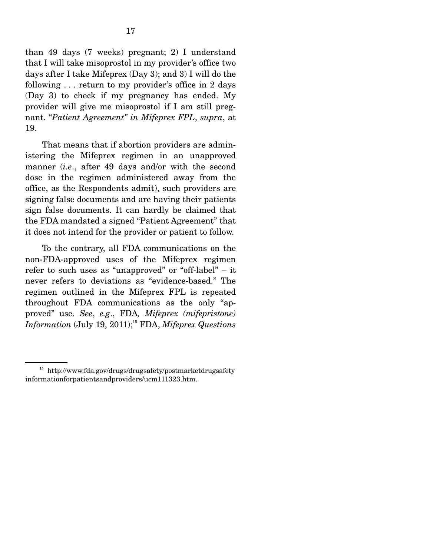than 49 days (7 weeks) pregnant; 2) I understand that I will take misoprostol in my provider's office two days after I take Mifeprex (Day 3); and 3) I will do the following . . . return to my provider's office in 2 days (Day 3) to check if my pregnancy has ended. My provider will give me misoprostol if I am still pregnant. "*Patient Agreement" in Mifeprex FPL*, *supra*, at 19.

 That means that if abortion providers are administering the Mifeprex regimen in an unapproved manner (*i.e*., after 49 days and/or with the second dose in the regimen administered away from the office, as the Respondents admit), such providers are signing false documents and are having their patients sign false documents. It can hardly be claimed that the FDA mandated a signed "Patient Agreement" that it does not intend for the provider or patient to follow.

 To the contrary, all FDA communications on the non-FDA-approved uses of the Mifeprex regimen refer to such uses as "unapproved" or "off-label" – it never refers to deviations as "evidence-based." The regimen outlined in the Mifeprex FPL is repeated throughout FDA communications as the only "approved" use. *See*, *e.g*., FDA*, Mifeprex (mifepristone) Information* (July 19, 2011);<sup>15</sup> FDA, *Mifeprex Questions* 

<sup>15</sup> http://www.fda.gov/drugs/drugsafety/postmarketdrugsafety informationforpatientsandproviders/ucm111323.htm.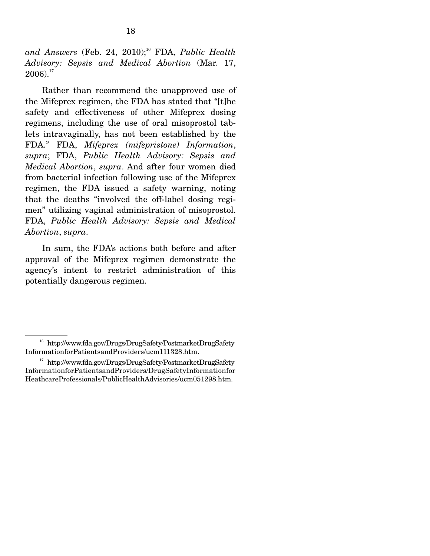and Answers (Feb. 24, 2010);<sup>16</sup> FDA, *Public Health Advisory: Sepsis and Medical Abortion* (Mar. 17,  $2006$ ).<sup>17</sup>

 Rather than recommend the unapproved use of the Mifeprex regimen, the FDA has stated that "[t]he safety and effectiveness of other Mifeprex dosing regimens, including the use of oral misoprostol tablets intravaginally, has not been established by the FDA." FDA, *Mifeprex (mifepristone) Information*, *supra*; FDA, *Public Health Advisory: Sepsis and Medical Abortion*, *supra*. And after four women died from bacterial infection following use of the Mifeprex regimen, the FDA issued a safety warning, noting that the deaths "involved the off-label dosing regimen" utilizing vaginal administration of misoprostol. FDA, *Public Health Advisory: Sepsis and Medical Abortion*, *supra*.

 In sum, the FDA's actions both before and after approval of the Mifeprex regimen demonstrate the agency's intent to restrict administration of this potentially dangerous regimen.

<sup>16</sup> http://www.fda.gov/Drugs/DrugSafety/PostmarketDrugSafety InformationforPatientsandProviders/ucm111328.htm.

<sup>&</sup>lt;sup>17</sup> http://www.fda.gov/Drugs/DrugSafety/PostmarketDrugSafety InformationforPatientsandProviders/DrugSafetyInformationfor HeathcareProfessionals/PublicHealthAdvisories/ucm051298.htm.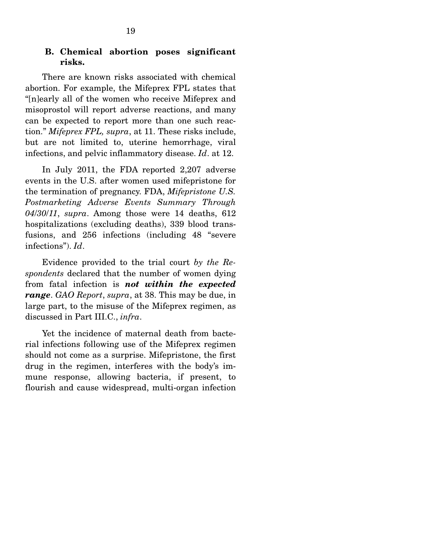#### **B. Chemical abortion poses significant risks.**

There are known risks associated with chemical abortion. For example, the Mifeprex FPL states that "[n]early all of the women who receive Mifeprex and misoprostol will report adverse reactions, and many can be expected to report more than one such reaction." *Mifeprex FPL, supra*, at 11. These risks include, but are not limited to, uterine hemorrhage, viral infections, and pelvic inflammatory disease. *Id*. at 12.

 In July 2011, the FDA reported 2,207 adverse events in the U.S. after women used mifepristone for the termination of pregnancy. FDA, *Mifepristone U.S. Postmarketing Adverse Events Summary Through 04*/*30*/*11*, *supra*. Among those were 14 deaths, 612 hospitalizations (excluding deaths), 339 blood transfusions, and 256 infections (including 48 "severe infections"). *Id*.

 Evidence provided to the trial court *by the Respondents* declared that the number of women dying from fatal infection is *not within the expected range*. *GAO Report*, *supra*, at 38. This may be due, in large part, to the misuse of the Mifeprex regimen, as discussed in Part III.C., *infra*.

 Yet the incidence of maternal death from bacterial infections following use of the Mifeprex regimen should not come as a surprise. Mifepristone, the first drug in the regimen, interferes with the body's immune response, allowing bacteria, if present, to flourish and cause widespread, multi-organ infection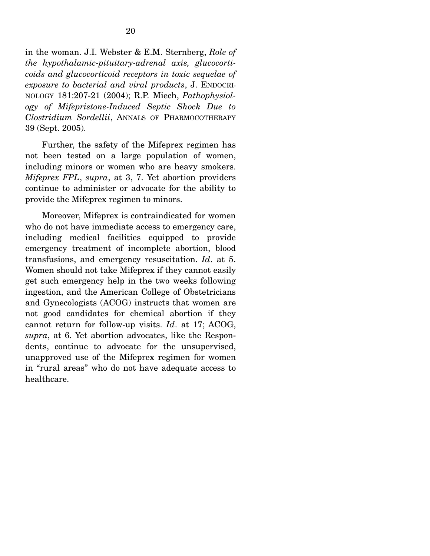in the woman. J.I. Webster & E.M. Sternberg, *Role of the hypothalamic-pituitary-adrenal axis, glucocorticoids and glucocorticoid receptors in toxic sequelae of exposure to bacterial and viral products*, J. ENDOCRI-NOLOGY 181:207-21 (2004); R.P. Miech, *Pathophysiology of Mifepristone-Induced Septic Shock Due to Clostridium Sordellii*, ANNALS OF PHARMOCOTHERAPY 39 (Sept. 2005).

 Further, the safety of the Mifeprex regimen has not been tested on a large population of women, including minors or women who are heavy smokers. *Mifeprex FPL*, *supra*, at 3, 7. Yet abortion providers continue to administer or advocate for the ability to provide the Mifeprex regimen to minors.

 Moreover, Mifeprex is contraindicated for women who do not have immediate access to emergency care, including medical facilities equipped to provide emergency treatment of incomplete abortion, blood transfusions, and emergency resuscitation. *Id*. at 5. Women should not take Mifeprex if they cannot easily get such emergency help in the two weeks following ingestion, and the American College of Obstetricians and Gynecologists (ACOG) instructs that women are not good candidates for chemical abortion if they cannot return for follow-up visits. *Id*. at 17; ACOG, *supra*, at 6. Yet abortion advocates, like the Respondents, continue to advocate for the unsupervised, unapproved use of the Mifeprex regimen for women in "rural areas" who do not have adequate access to healthcare.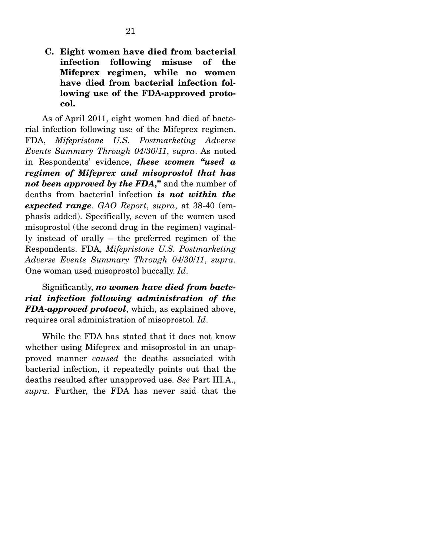**C. Eight women have died from bacterial infection following misuse of the Mifeprex regimen, while no women have died from bacterial infection following use of the FDA-approved protocol.** 

As of April 2011, eight women had died of bacterial infection following use of the Mifeprex regimen. FDA, *Mifepristone U.S. Postmarketing Adverse Events Summary Through 04*/*30*/*11*, *supra*. As noted in Respondents' evidence, *these women "used a regimen of Mifeprex and misoprostol that has not been approved by the FDA***,"** and the number of deaths from bacterial infection *is not within the expected range*. *GAO Report*, *supra*, at 38-40 (emphasis added). Specifically, seven of the women used misoprostol (the second drug in the regimen) vaginally instead of orally – the preferred regimen of the Respondents. FDA, *Mifepristone U.S. Postmarketing Adverse Events Summary Through 04*/*30*/*11*, *supra*. One woman used misoprostol buccally. *Id*.

 Significantly, *no women have died from bacterial infection following administration of the FDA-approved protocol*, which, as explained above, requires oral administration of misoprostol. *Id*.

 While the FDA has stated that it does not know whether using Mifeprex and misoprostol in an unapproved manner *caused* the deaths associated with bacterial infection, it repeatedly points out that the deaths resulted after unapproved use. *See* Part III.A., *supra.* Further, the FDA has never said that the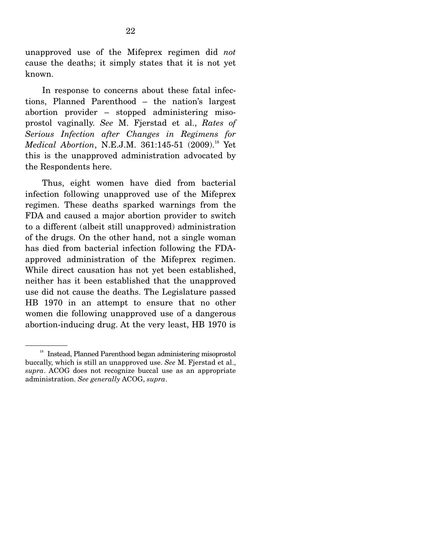unapproved use of the Mifeprex regimen did *not* cause the deaths; it simply states that it is not yet known.

 In response to concerns about these fatal infections, Planned Parenthood – the nation's largest abortion provider – stopped administering misoprostol vaginally. *See* M. Fjerstad et al., *Rates of Serious Infection after Changes in Regimens for Medical Abortion*, N.E.J.M. 361:145-51 (2009).<sup>18</sup> Yet this is the unapproved administration advocated by the Respondents here.

 Thus, eight women have died from bacterial infection following unapproved use of the Mifeprex regimen. These deaths sparked warnings from the FDA and caused a major abortion provider to switch to a different (albeit still unapproved) administration of the drugs. On the other hand, not a single woman has died from bacterial infection following the FDAapproved administration of the Mifeprex regimen. While direct causation has not yet been established, neither has it been established that the unapproved use did not cause the deaths. The Legislature passed HB 1970 in an attempt to ensure that no other women die following unapproved use of a dangerous abortion-inducing drug. At the very least, HB 1970 is

<sup>&</sup>lt;sup>18</sup> Instead, Planned Parenthood began administering misoprostol buccally, which is still an unapproved use. *See* M. Fjerstad et al., *supra*. ACOG does not recognize buccal use as an appropriate administration. *See generally* ACOG, *supra*.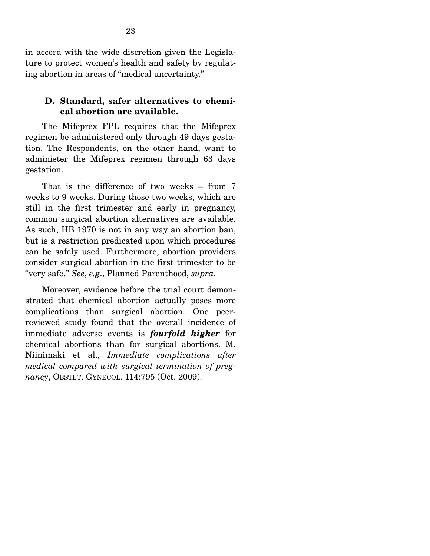in accord with the wide discretion given the Legislature to protect women's health and safety by regulating abortion in areas of "medical uncertainty."

#### **D. Standard, safer alternatives to chemical abortion are available.**

The Mifeprex FPL requires that the Mifeprex regimen be administered only through 49 days gestation. The Respondents, on the other hand, want to administer the Mifeprex regimen through 63 days gestation.

 That is the difference of two weeks – from 7 weeks to 9 weeks. During those two weeks, which are still in the first trimester and early in pregnancy, common surgical abortion alternatives are available. As such, HB 1970 is not in any way an abortion ban, but is a restriction predicated upon which procedures can be safely used. Furthermore, abortion providers consider surgical abortion in the first trimester to be "very safe." *See*, *e.g*., Planned Parenthood, *supra*.

 Moreover, evidence before the trial court demonstrated that chemical abortion actually poses more complications than surgical abortion. One peerreviewed study found that the overall incidence of immediate adverse events is *fourfold higher* for chemical abortions than for surgical abortions. M. Niinimaki et al., *Immediate complications after medical compared with surgical termination of pregnancy*, OBSTET. GYNECOL. 114:795 (Oct. 2009).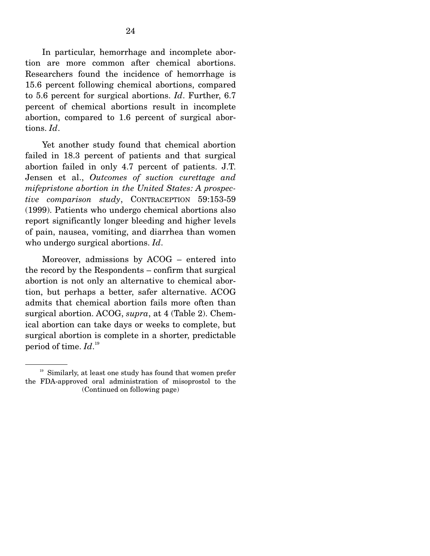In particular, hemorrhage and incomplete abortion are more common after chemical abortions. Researchers found the incidence of hemorrhage is 15.6 percent following chemical abortions, compared to 5.6 percent for surgical abortions. *Id*. Further, 6.7 percent of chemical abortions result in incomplete abortion, compared to 1.6 percent of surgical abortions. *Id*.

 Yet another study found that chemical abortion failed in 18.3 percent of patients and that surgical abortion failed in only 4.7 percent of patients. J.T. Jensen et al., *Outcomes of suction curettage and mifepristone abortion in the United States: A prospective comparison study*, CONTRACEPTION 59:153-59 (1999). Patients who undergo chemical abortions also report significantly longer bleeding and higher levels of pain, nausea, vomiting, and diarrhea than women who undergo surgical abortions. *Id*.

 Moreover, admissions by ACOG – entered into the record by the Respondents – confirm that surgical abortion is not only an alternative to chemical abortion, but perhaps a better, safer alternative. ACOG admits that chemical abortion fails more often than surgical abortion. ACOG, *supra*, at 4 (Table 2). Chemical abortion can take days or weeks to complete, but surgical abortion is complete in a shorter, predictable period of time. *Id*. 19

<sup>&</sup>lt;sup>19</sup> Similarly, at least one study has found that women prefer the FDA-approved oral administration of misoprostol to the (Continued on following page)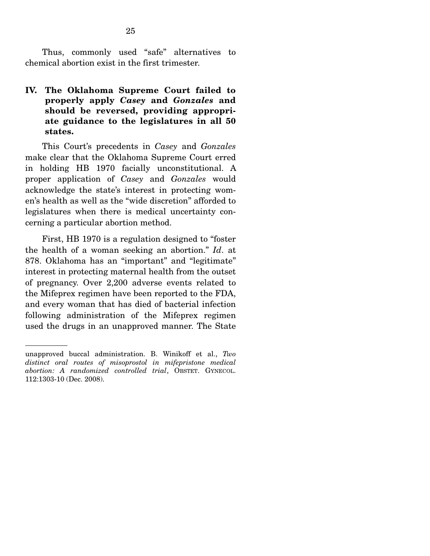Thus, commonly used "safe" alternatives to chemical abortion exist in the first trimester.

## **IV. The Oklahoma Supreme Court failed to properly apply** *Casey* **and** *Gonzales* **and should be reversed, providing appropriate guidance to the legislatures in all 50 states.**

This Court's precedents in *Casey* and *Gonzales* make clear that the Oklahoma Supreme Court erred in holding HB 1970 facially unconstitutional. A proper application of *Casey* and *Gonzales* would acknowledge the state's interest in protecting women's health as well as the "wide discretion" afforded to legislatures when there is medical uncertainty concerning a particular abortion method.

 First, HB 1970 is a regulation designed to "foster the health of a woman seeking an abortion." *Id*. at 878. Oklahoma has an "important" and "legitimate" interest in protecting maternal health from the outset of pregnancy. Over 2,200 adverse events related to the Mifeprex regimen have been reported to the FDA, and every woman that has died of bacterial infection following administration of the Mifeprex regimen used the drugs in an unapproved manner. The State

unapproved buccal administration. B. Winikoff et al., *Two distinct oral routes of misoprostol in mifepristone medical abortion: A randomized controlled trial*, OBSTET. GYNECOL. 112:1303-10 (Dec. 2008).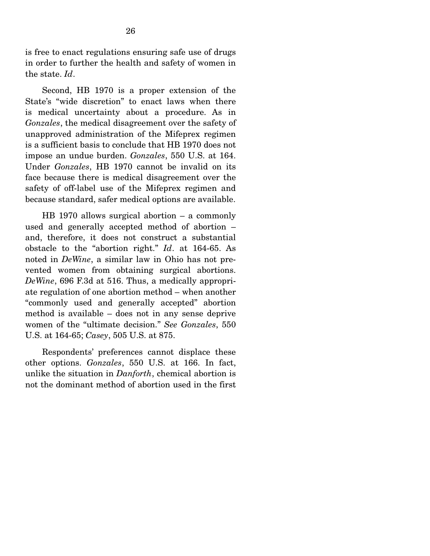is free to enact regulations ensuring safe use of drugs in order to further the health and safety of women in the state. *Id*.

 Second, HB 1970 is a proper extension of the State's "wide discretion" to enact laws when there is medical uncertainty about a procedure. As in *Gonzales*, the medical disagreement over the safety of unapproved administration of the Mifeprex regimen is a sufficient basis to conclude that HB 1970 does not impose an undue burden. *Gonzales*, 550 U.S. at 164. Under *Gonzales*, HB 1970 cannot be invalid on its face because there is medical disagreement over the safety of off-label use of the Mifeprex regimen and because standard, safer medical options are available.

 HB 1970 allows surgical abortion – a commonly used and generally accepted method of abortion – and, therefore, it does not construct a substantial obstacle to the "abortion right." *Id*. at 164-65. As noted in *DeWine*, a similar law in Ohio has not prevented women from obtaining surgical abortions. *DeWine*, 696 F.3d at 516. Thus, a medically appropriate regulation of one abortion method – when another "commonly used and generally accepted" abortion method is available – does not in any sense deprive women of the "ultimate decision." *See Gonzales*, 550 U.S. at 164-65; *Casey*, 505 U.S. at 875.

 Respondents' preferences cannot displace these other options. *Gonzales*, 550 U.S. at 166. In fact, unlike the situation in *Danforth*, chemical abortion is not the dominant method of abortion used in the first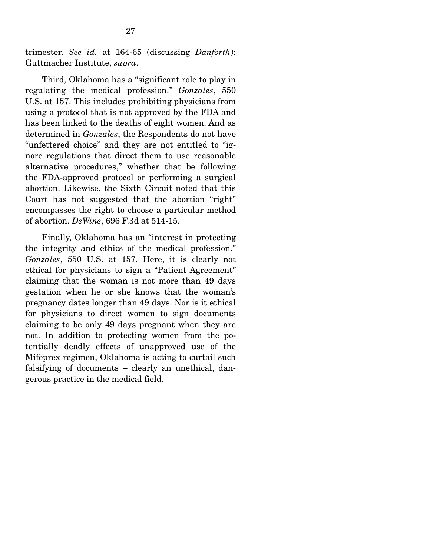trimester. *See id.* at 164-65 (discussing *Danforth*); Guttmacher Institute, *supra*.

 Third, Oklahoma has a "significant role to play in regulating the medical profession." *Gonzales*, 550 U.S. at 157. This includes prohibiting physicians from using a protocol that is not approved by the FDA and has been linked to the deaths of eight women. And as determined in *Gonzales*, the Respondents do not have "unfettered choice" and they are not entitled to "ignore regulations that direct them to use reasonable alternative procedures," whether that be following the FDA-approved protocol or performing a surgical abortion. Likewise, the Sixth Circuit noted that this Court has not suggested that the abortion "right" encompasses the right to choose a particular method of abortion. *DeWine*, 696 F.3d at 514-15.

 Finally, Oklahoma has an "interest in protecting the integrity and ethics of the medical profession." *Gonzales*, 550 U.S. at 157. Here, it is clearly not ethical for physicians to sign a "Patient Agreement" claiming that the woman is not more than 49 days gestation when he or she knows that the woman's pregnancy dates longer than 49 days. Nor is it ethical for physicians to direct women to sign documents claiming to be only 49 days pregnant when they are not. In addition to protecting women from the potentially deadly effects of unapproved use of the Mifeprex regimen, Oklahoma is acting to curtail such falsifying of documents – clearly an unethical, dangerous practice in the medical field.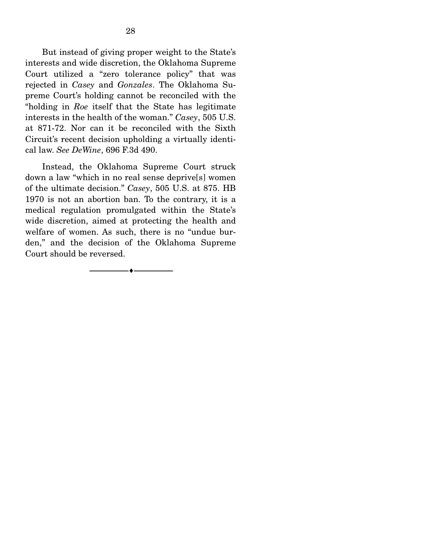But instead of giving proper weight to the State's interests and wide discretion, the Oklahoma Supreme Court utilized a "zero tolerance policy" that was rejected in *Casey* and *Gonzales*. The Oklahoma Supreme Court's holding cannot be reconciled with the "holding in *Roe* itself that the State has legitimate interests in the health of the woman." *Casey*, 505 U.S. at 871-72. Nor can it be reconciled with the Sixth Circuit's recent decision upholding a virtually identical law. *See DeWine*, 696 F.3d 490.

 Instead, the Oklahoma Supreme Court struck down a law "which in no real sense deprive[s] women of the ultimate decision." *Casey*, 505 U.S. at 875. HB 1970 is not an abortion ban. To the contrary, it is a medical regulation promulgated within the State's wide discretion, aimed at protecting the health and welfare of women. As such, there is no "undue burden," and the decision of the Oklahoma Supreme Court should be reversed.

--------------------------------- ---------------------------------